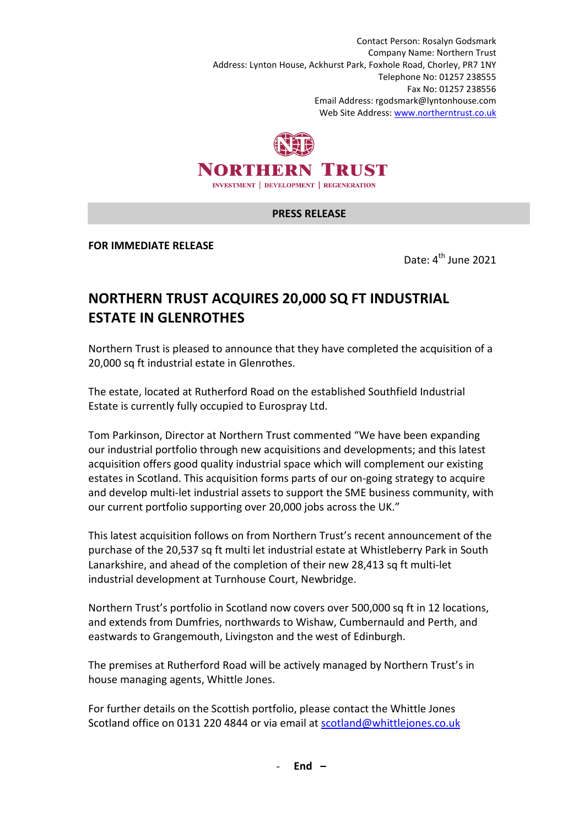Contact Person: Rosalyn Godsmark Company Name: Northern Trust Address: Lynton House, Ackhurst Park, Foxhole Road, Chorley, PR7 1NY Telephone No: 01257 238555 Fax No: 01257 238556 Email Address: rgodsmark@lyntonhouse.com Web Site Address: www.northerntrust.co.uk



## **PRESS RELEASE**

**FOR IMMEDIATE RELEASE** 

Date:  $4^{th}$  June 2021

## **NORTHERN TRUST ACQUIRES 20,000 SQ FT INDUSTRIAL ESTATE IN GLENROTHES**

Northern Trust is pleased to announce that they have completed the acquisition of a 20,000 sq ft industrial estate in Glenrothes.

The estate, located at Rutherford Road on the established Southfield Industrial Estate is currently fully occupied to Eurospray Ltd.

Tom Parkinson, Director at Northern Trust commented "We have been expanding our industrial portfolio through new acquisitions and developments; and this latest acquisition offers good quality industrial space which will complement our existing estates in Scotland. This acquisition forms parts of our on-going strategy to acquire and develop multi-let industrial assets to support the SME business community, with our current portfolio supporting over 20,000 jobs across the UK."

This latest acquisition follows on from Northern Trust's recent announcement of the purchase of the 20,537 sq ft multi let industrial estate at Whistleberry Park in South Lanarkshire, and ahead of the completion of their new 28,413 sq ft multi-let industrial development at Turnhouse Court, Newbridge.

Northern Trust's portfolio in Scotland now covers over 500,000 sq ft in 12 locations, and extends from Dumfries, northwards to Wishaw, Cumbernauld and Perth, and eastwards to Grangemouth, Livingston and the west of Edinburgh.

The premises at Rutherford Road will be actively managed by Northern Trust's in house managing agents, Whittle Jones.

For further details on the Scottish portfolio, please contact the Whittle Jones Scotland office on 0131 220 4844 or via email at scotland@whittlejones.co.uk